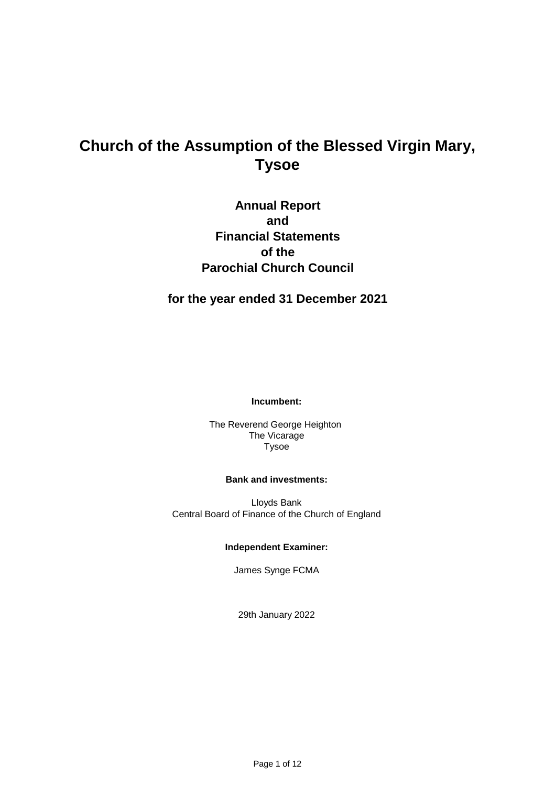# **Church of the Assumption of the Blessed Virgin Mary, Tysoe**

**Annual Report and Financial Statements of the Parochial Church Council**

**for the year ended 31 December 2021**

**Incumbent:**

Tysoe The Reverend George Heighton The Vicarage

#### **Bank and investments:**

Lloyds Bank Central Board of Finance of the Church of England

# **Independent Examiner:**

James Synge FCMA

29th January 2022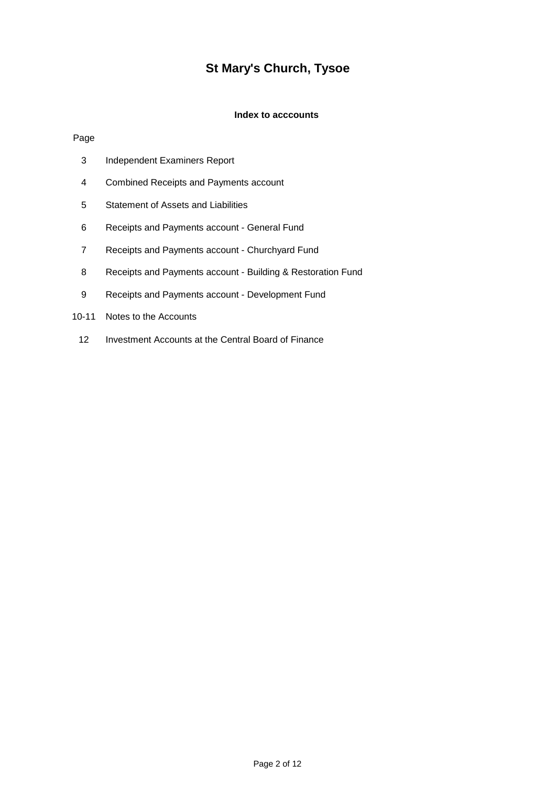# **St Mary's Church, Tysoe**

## **Index to acccounts**

#### Page

- Independent Examiners Report
- Combined Receipts and Payments account
- Statement of Assets and Liabilities
- Receipts and Payments account General Fund
- Receipts and Payments account Churchyard Fund
- Receipts and Payments account Building & Restoration Fund
- Receipts and Payments account Development Fund
- 10-11 Notes to the Accounts
	- Investment Accounts at the Central Board of Finance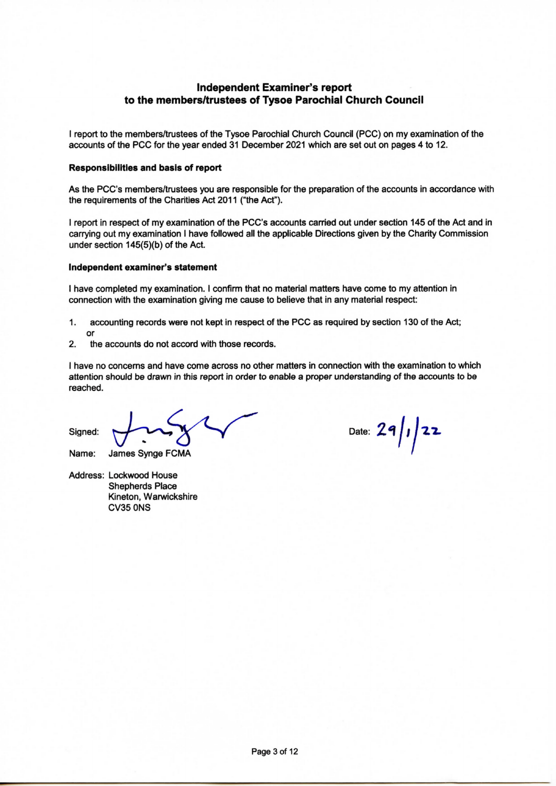# **Independent Examiner's report** to the members/trustees of Tysoe Parochial Church Council

I report to the members/trustees of the Tysoe Parochial Church Council (PCC) on my examination of the accounts of the PCC for the year ended 31 December 2021 which are set out on pages 4 to 12.

#### **Responsibilities and basis of report**

As the PCC's members/trustees you are responsible for the preparation of the accounts in accordance with the requirements of the Charities Act 2011 ("the Act").

I report in respect of my examination of the PCC's accounts carried out under section 145 of the Act and in carrying out my examination I have followed all the applicable Directions given by the Charity Commission under section 145(5)(b) of the Act.

#### Independent examiner's statement

I have completed my examination. I confirm that no material matters have come to my attention in connection with the examination giving me cause to believe that in any material respect:

- 1. accounting records were not kept in respect of the PCC as required by section 130 of the Act;  $\alpha$
- $2.$ the accounts do not accord with those records.

I have no concerns and have come across no other matters in connection with the examination to which attention should be drawn in this report in order to enable a proper understanding of the accounts to be reached.

Signed:

Name: James Synge FCMA

Address: Lockwood House **Shepherds Place** Kineton, Warwickshire **CV35 0NS** 

Date:  $29/1/22$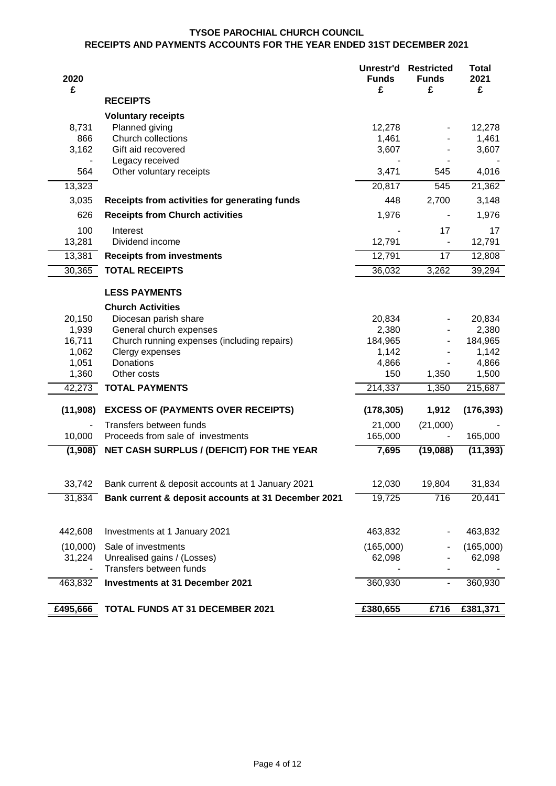#### **TYSOE PAROCHIAL CHURCH COUNCIL RECEIPTS AND PAYMENTS ACCOUNTS FOR THE YEAR ENDED 31ST DECEMBER 2021**

| 2020<br>£      |                                                        | Unrestr'd<br><b>Funds</b><br>£ | <b>Restricted</b><br><b>Funds</b><br>£ | <b>Total</b><br>2021<br>£ |
|----------------|--------------------------------------------------------|--------------------------------|----------------------------------------|---------------------------|
|                | <b>RECEIPTS</b>                                        |                                |                                        |                           |
|                | <b>Voluntary receipts</b>                              |                                |                                        |                           |
| 8,731          | Planned giving                                         | 12,278                         |                                        | 12,278                    |
| 866            | Church collections                                     | 1,461                          |                                        | 1,461                     |
| 3,162          | Gift aid recovered                                     | 3,607                          |                                        | 3,607                     |
| 564            | Legacy received<br>Other voluntary receipts            | 3,471                          | 545                                    | 4,016                     |
| 13,323         |                                                        | 20,817                         | 545                                    | 21,362                    |
| 3,035          | Receipts from activities for generating funds          | 448                            | 2,700                                  | 3,148                     |
| 626            | <b>Receipts from Church activities</b>                 | 1,976                          | $\overline{\phantom{a}}$               | 1,976                     |
| 100            | Interest                                               |                                | 17                                     | 17                        |
| 13,281         | Dividend income                                        | 12,791                         |                                        | 12,791                    |
| 13,381         | <b>Receipts from investments</b>                       | 12,791                         | 17                                     | 12,808                    |
| 30,365         | <b>TOTAL RECEIPTS</b>                                  | 36,032                         | 3,262                                  | 39,294                    |
|                | <b>LESS PAYMENTS</b>                                   |                                |                                        |                           |
|                | <b>Church Activities</b>                               |                                |                                        |                           |
| 20,150         | Diocesan parish share                                  | 20,834                         |                                        | 20,834                    |
| 1,939          | General church expenses                                | 2,380                          |                                        | 2,380                     |
| 16,711         | Church running expenses (including repairs)            | 184,965                        |                                        | 184,965                   |
| 1,062<br>1,051 | Clergy expenses<br>Donations                           | 1,142<br>4,866                 |                                        | 1,142<br>4,866            |
| 1,360          | Other costs                                            | 150                            | 1,350                                  | 1,500                     |
| 42,273         | <b>TOTAL PAYMENTS</b>                                  | 214,337                        | 1,350                                  | 215,687                   |
| (11,908)       | <b>EXCESS OF (PAYMENTS OVER RECEIPTS)</b>              | (178, 305)                     | 1,912                                  | (176, 393)                |
|                | Transfers between funds                                | 21,000                         | (21,000)                               |                           |
| 10,000         | Proceeds from sale of investments                      | 165,000                        |                                        | 165,000                   |
| (1,908)        | NET CASH SURPLUS / (DEFICIT) FOR THE YEAR              | 7,695                          | (19,088)                               | (11, 393)                 |
| 33,742         | Bank current & deposit accounts at 1 January 2021      | 12,030                         | 19,804                                 | 31,834                    |
| 31,834         | Bank current & deposit accounts at 31 December 2021    | 19,725                         | 716                                    | 20,441                    |
|                |                                                        |                                |                                        |                           |
| 442,608        | Investments at 1 January 2021                          | 463,832                        |                                        | 463,832                   |
| (10,000)       | Sale of investments                                    | (165,000)                      |                                        | (165,000)                 |
| 31,224         | Unrealised gains / (Losses)<br>Transfers between funds | 62,098                         |                                        | 62,098                    |
| 463,832        | <b>Investments at 31 December 2021</b>                 | 360,930                        | $\overline{\phantom{a}}$               | 360,930                   |
| £495,666       | <b>TOTAL FUNDS AT 31 DECEMBER 2021</b>                 | £380,655                       | £716                                   | £381,371                  |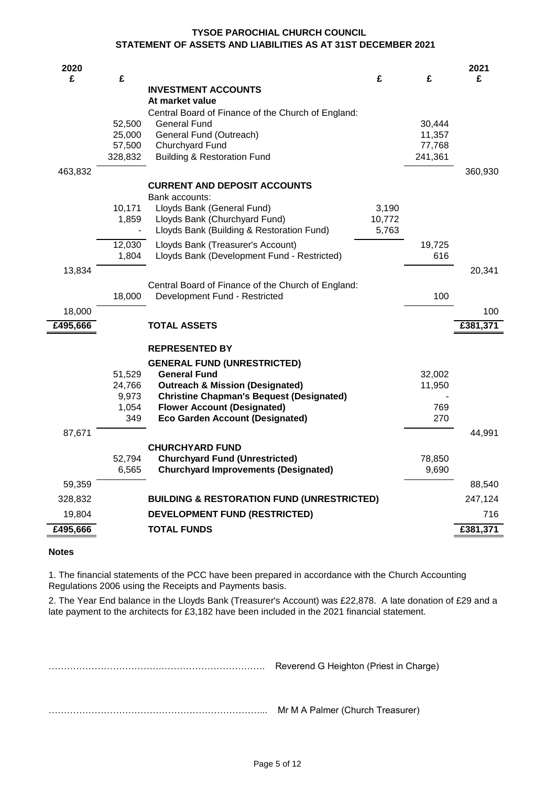#### **STATEMENT OF ASSETS AND LIABILITIES AS AT 31ST DECEMBER 2021 TYSOE PAROCHIAL CHURCH COUNCIL**

| £<br>£<br>£<br>£<br>£<br><b>INVESTMENT ACCOUNTS</b><br>At market value<br>Central Board of Finance of the Church of England:<br>52,500<br><b>General Fund</b><br>30,444<br>25,000<br>General Fund (Outreach)<br>11,357<br>Churchyard Fund<br>57,500<br>77,768<br><b>Building &amp; Restoration Fund</b><br>328,832<br>241,361<br>463,832<br>360,930<br><b>CURRENT AND DEPOSIT ACCOUNTS</b><br>Bank accounts:<br>10,171<br>Lloyds Bank (General Fund)<br>3,190 |        |
|---------------------------------------------------------------------------------------------------------------------------------------------------------------------------------------------------------------------------------------------------------------------------------------------------------------------------------------------------------------------------------------------------------------------------------------------------------------|--------|
|                                                                                                                                                                                                                                                                                                                                                                                                                                                               |        |
|                                                                                                                                                                                                                                                                                                                                                                                                                                                               |        |
|                                                                                                                                                                                                                                                                                                                                                                                                                                                               |        |
|                                                                                                                                                                                                                                                                                                                                                                                                                                                               |        |
|                                                                                                                                                                                                                                                                                                                                                                                                                                                               |        |
|                                                                                                                                                                                                                                                                                                                                                                                                                                                               |        |
|                                                                                                                                                                                                                                                                                                                                                                                                                                                               |        |
|                                                                                                                                                                                                                                                                                                                                                                                                                                                               |        |
|                                                                                                                                                                                                                                                                                                                                                                                                                                                               |        |
|                                                                                                                                                                                                                                                                                                                                                                                                                                                               |        |
| Lloyds Bank (Churchyard Fund)<br>10,772<br>1,859                                                                                                                                                                                                                                                                                                                                                                                                              |        |
| Lloyds Bank (Building & Restoration Fund)<br>5,763                                                                                                                                                                                                                                                                                                                                                                                                            |        |
| 12,030<br>Lloyds Bank (Treasurer's Account)<br>19,725                                                                                                                                                                                                                                                                                                                                                                                                         |        |
| 1,804<br>Lloyds Bank (Development Fund - Restricted)<br>616                                                                                                                                                                                                                                                                                                                                                                                                   |        |
| 13,834                                                                                                                                                                                                                                                                                                                                                                                                                                                        | 20,341 |
| Central Board of Finance of the Church of England:                                                                                                                                                                                                                                                                                                                                                                                                            |        |
| 100<br>18,000<br>Development Fund - Restricted                                                                                                                                                                                                                                                                                                                                                                                                                |        |
| 18,000                                                                                                                                                                                                                                                                                                                                                                                                                                                        | 100    |
| £495,666<br>£381,371<br><b>TOTAL ASSETS</b>                                                                                                                                                                                                                                                                                                                                                                                                                   |        |
| <b>REPRESENTED BY</b>                                                                                                                                                                                                                                                                                                                                                                                                                                         |        |
| <b>GENERAL FUND (UNRESTRICTED)</b>                                                                                                                                                                                                                                                                                                                                                                                                                            |        |
| 51,529<br><b>General Fund</b><br>32,002                                                                                                                                                                                                                                                                                                                                                                                                                       |        |
| <b>Outreach &amp; Mission (Designated)</b><br>24,766<br>11,950                                                                                                                                                                                                                                                                                                                                                                                                |        |
| 9,973<br><b>Christine Chapman's Bequest (Designated)</b>                                                                                                                                                                                                                                                                                                                                                                                                      |        |
| 1,054<br><b>Flower Account (Designated)</b><br>769                                                                                                                                                                                                                                                                                                                                                                                                            |        |
| 349<br><b>Eco Garden Account (Designated)</b><br>270                                                                                                                                                                                                                                                                                                                                                                                                          |        |
| 87,671                                                                                                                                                                                                                                                                                                                                                                                                                                                        | 44,991 |
| <b>CHURCHYARD FUND</b>                                                                                                                                                                                                                                                                                                                                                                                                                                        |        |
| 52,794<br><b>Churchyard Fund (Unrestricted)</b><br>78,850                                                                                                                                                                                                                                                                                                                                                                                                     |        |
| <b>Churchyard Improvements (Designated)</b><br>6,565<br>9,690                                                                                                                                                                                                                                                                                                                                                                                                 |        |
| 59,359                                                                                                                                                                                                                                                                                                                                                                                                                                                        | 88,540 |
| 328,832<br><b>BUILDING &amp; RESTORATION FUND (UNRESTRICTED)</b><br>247,124                                                                                                                                                                                                                                                                                                                                                                                   |        |
| 19,804<br><b>DEVELOPMENT FUND (RESTRICTED)</b>                                                                                                                                                                                                                                                                                                                                                                                                                |        |
| £495,666<br><b>TOTAL FUNDS</b><br>£381,371                                                                                                                                                                                                                                                                                                                                                                                                                    | 716    |

# **Notes**

1. The financial statements of the PCC have been prepared in accordance with the Church Accounting Regulations 2006 using the Receipts and Payments basis.

2. The Year End balance in the Lloyds Bank (Treasurer's Account) was £22,878. A late donation of £29 and a late payment to the architects for £3,182 have been included in the 2021 financial statement.

……………………………….……………………………. Reverend G Heighton (Priest in Charge) ……………………………………………………………... Mr M A Palmer (Church Treasurer)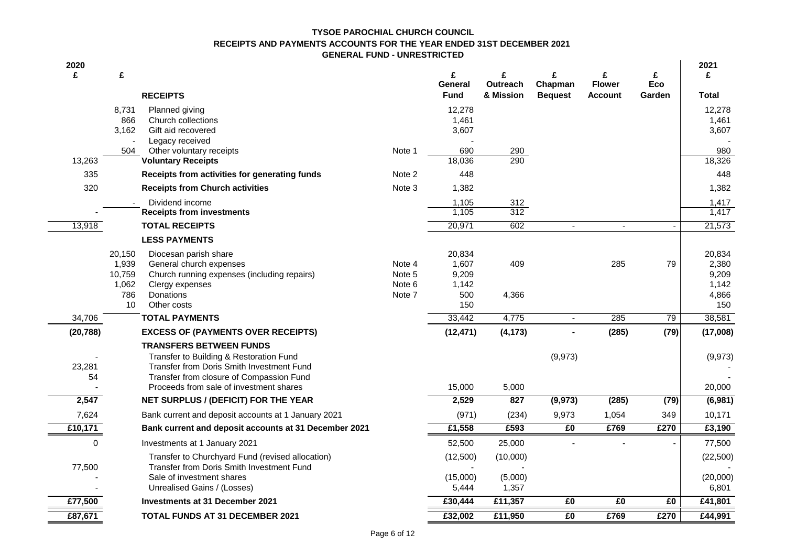#### **RECEIPTS AND PAYMENTS ACCOUNTS FOR THE YEAR ENDED 31ST DECEMBER 2021 GENERAL FUND - UNRESTRICTED TYSOE PAROCHIAL CHURCH COUNCIL**

| 2020<br>£    | £<br><b>RECEIPTS</b>                                                                  |        | £<br>General<br><b>Fund</b> | £<br>Outreach<br>& Mission | £<br>Chapman<br><b>Bequest</b> | £<br><b>Flower</b><br><b>Account</b> | £<br>Eco<br>Garden | 2021<br>£<br>Total          |
|--------------|---------------------------------------------------------------------------------------|--------|-----------------------------|----------------------------|--------------------------------|--------------------------------------|--------------------|-----------------------------|
|              | 8,731<br>Planned giving                                                               |        | 12,278                      |                            |                                |                                      |                    | 12,278                      |
|              | 866<br>Church collections                                                             |        | 1,461                       |                            |                                |                                      |                    | 1,461                       |
|              | 3.162<br>Gift aid recovered                                                           |        | 3,607                       |                            |                                |                                      |                    | 3,607                       |
|              | Legacy received                                                                       |        |                             |                            |                                |                                      |                    |                             |
| 13,263       | Other voluntary receipts<br>504<br><b>Voluntary Receipts</b>                          | Note 1 | 690<br>18,036               | 290<br>290                 |                                |                                      |                    | 980<br>18,326               |
| 335          | Receipts from activities for generating funds                                         | Note 2 | 448                         |                            |                                |                                      |                    | 448                         |
| 320          | <b>Receipts from Church activities</b>                                                | Note 3 | 1,382                       |                            |                                |                                      |                    | 1,382                       |
|              |                                                                                       |        |                             |                            |                                |                                      |                    |                             |
|              | Dividend income<br><b>Receipts from investments</b>                                   |        | 1,105<br>1,105              | 312<br>312                 |                                |                                      |                    | 1,417<br>1,417              |
| 13,918       | <b>TOTAL RECEIPTS</b>                                                                 |        | 20,971                      | 602                        | $\blacksquare$                 | $\overline{a}$                       | $\blacksquare$     | 21,573                      |
|              | <b>LESS PAYMENTS</b>                                                                  |        |                             |                            |                                |                                      |                    |                             |
|              |                                                                                       |        |                             |                            |                                |                                      |                    |                             |
|              | 20,150<br>Diocesan parish share<br>1,939<br>General church expenses                   | Note 4 | 20,834<br>1,607             | 409                        |                                | 285                                  | 79                 | 20,834<br>2,380             |
|              | 10,759<br>Church running expenses (including repairs)                                 | Note 5 | 9,209                       |                            |                                |                                      |                    | 9,209                       |
|              | 1,062<br>Clergy expenses                                                              | Note 6 | 1,142                       |                            |                                |                                      |                    | 1,142                       |
|              | 786<br>Donations                                                                      | Note 7 | 500                         | 4,366                      |                                |                                      |                    | 4,866                       |
|              | 10<br>Other costs                                                                     |        | 150                         |                            |                                |                                      |                    | 150                         |
| 34,706       | <b>TOTAL PAYMENTS</b>                                                                 |        | 33,442                      | 4,775                      | $\blacksquare$                 | 285                                  | 79                 | 38,581                      |
| (20, 788)    | <b>EXCESS OF (PAYMENTS OVER RECEIPTS)</b>                                             |        | (12, 471)                   | (4, 173)                   |                                | (285)                                | (79)               | (17,008)                    |
|              | <b>TRANSFERS BETWEEN FUNDS</b>                                                        |        |                             |                            |                                |                                      |                    |                             |
|              | Transfer to Building & Restoration Fund                                               |        |                             |                            | (9,973)                        |                                      |                    | (9, 973)                    |
| 23,281<br>54 | Transfer from Doris Smith Investment Fund<br>Transfer from closure of Compassion Fund |        |                             |                            |                                |                                      |                    |                             |
|              | Proceeds from sale of investment shares                                               |        | 15,000                      | 5,000                      |                                |                                      |                    | 20,000                      |
| 2,547        | NET SURPLUS / (DEFICIT) FOR THE YEAR                                                  |        | 2,529                       | 827                        | (9, 973)                       | (285)                                | (79)               | (6,981)                     |
| 7,624        | Bank current and deposit accounts at 1 January 2021                                   |        | (971)                       | (234)                      | 9,973                          | 1,054                                | 349                | 10,171                      |
| £10,171      | Bank current and deposit accounts at 31 December 2021                                 |        | £1,558                      | £593                       | £0                             | £769                                 | £270               | £3,190                      |
| 0            | Investments at 1 January 2021                                                         |        | 52,500                      | 25,000                     |                                |                                      |                    | 77,500                      |
|              | Transfer to Churchyard Fund (revised allocation)                                      |        | (12,500)                    | (10,000)                   |                                |                                      |                    | (22, 500)                   |
| 77,500       | Transfer from Doris Smith Investment Fund                                             |        |                             |                            |                                |                                      |                    |                             |
|              | Sale of investment shares                                                             |        | (15,000)                    | (5,000)                    |                                |                                      |                    | (20,000)                    |
|              | Unrealised Gains / (Losses)                                                           |        | 5,444                       | 1,357                      |                                |                                      |                    | 6,801                       |
| £77,500      | <b>Investments at 31 December 2021</b>                                                |        | £30,444                     | £11,357                    | £0                             | £0                                   | £0                 | £41,801                     |
| £87,671      | <b>TOTAL FUNDS AT 31 DECEMBER 2021</b>                                                |        | £32,002                     | £11,950                    | $E_0$                          | £769                                 | £270               | $\overline{\text{£}44,991}$ |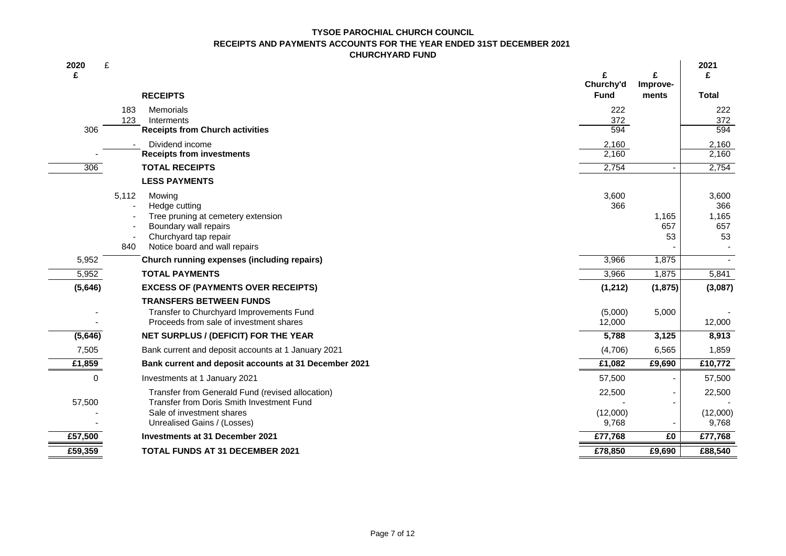#### **RECEIPTS AND PAYMENTS ACCOUNTS FOR THE YEAR ENDED 31ST DECEMBER 2021 CHURCHYARD FUND TYSOE PAROCHIAL CHURCH COUNCIL**

| 2020<br>£ | £<br><b>RECEIPTS</b>                                  | Churchy'd<br><b>Fund</b> | £<br>Improve-<br>ments | 2021<br>£<br><b>Total</b> |
|-----------|-------------------------------------------------------|--------------------------|------------------------|---------------------------|
|           | 183<br>Memorials                                      | 222                      |                        | 222                       |
|           | 123<br>Interments                                     | 372                      |                        | 372                       |
| 306       | <b>Receipts from Church activities</b>                | 594                      |                        | 594                       |
|           | Dividend income                                       | 2,160                    |                        | 2,160                     |
|           | <b>Receipts from investments</b>                      | 2,160                    |                        | 2,160                     |
| 306       | <b>TOTAL RECEIPTS</b>                                 | 2,754                    |                        | 2,754                     |
|           | <b>LESS PAYMENTS</b>                                  |                          |                        |                           |
|           | 5,112<br>Mowing                                       | 3,600                    |                        | 3,600                     |
|           | Hedge cutting                                         | 366                      |                        | 366                       |
|           | Tree pruning at cemetery extension                    |                          | 1,165                  | 1,165                     |
|           | Boundary wall repairs<br>Churchyard tap repair        |                          | 657<br>53              | 657<br>53                 |
|           | Notice board and wall repairs<br>840                  |                          |                        |                           |
| 5,952     | Church running expenses (including repairs)           | 3,966                    | 1,875                  |                           |
| 5,952     | <b>TOTAL PAYMENTS</b>                                 | 3,966                    | 1,875                  | 5,841                     |
| (5,646)   | <b>EXCESS OF (PAYMENTS OVER RECEIPTS)</b>             | (1, 212)                 | (1, 875)               | (3,087)                   |
|           | <b>TRANSFERS BETWEEN FUNDS</b>                        |                          |                        |                           |
|           | Transfer to Churchyard Improvements Fund              | (5,000)                  | 5,000                  |                           |
|           | Proceeds from sale of investment shares               | 12,000                   |                        | 12,000                    |
| (5,646)   | NET SURPLUS / (DEFICIT) FOR THE YEAR                  | 5,788                    | 3,125                  | 8,913                     |
| 7,505     | Bank current and deposit accounts at 1 January 2021   | (4,706)                  | 6,565                  | 1,859                     |
| £1,859    | Bank current and deposit accounts at 31 December 2021 | £1,082                   | £9,690                 | £10,772                   |
| 0         | Investments at 1 January 2021                         | 57,500                   |                        | 57,500                    |
|           | Transfer from Generald Fund (revised allocation)      | 22,500                   |                        | 22,500                    |
| 57,500    | Transfer from Doris Smith Investment Fund             |                          |                        |                           |
|           | Sale of investment shares                             | (12,000)                 |                        | (12,000)                  |
|           | Unrealised Gains / (Losses)                           | 9,768                    |                        | 9,768                     |
| £57,500   | Investments at 31 December 2021                       | £77,768                  | £0                     | £77,768                   |
| £59,359   | <b>TOTAL FUNDS AT 31 DECEMBER 2021</b>                | £78,850                  | £9,690                 | £88,540                   |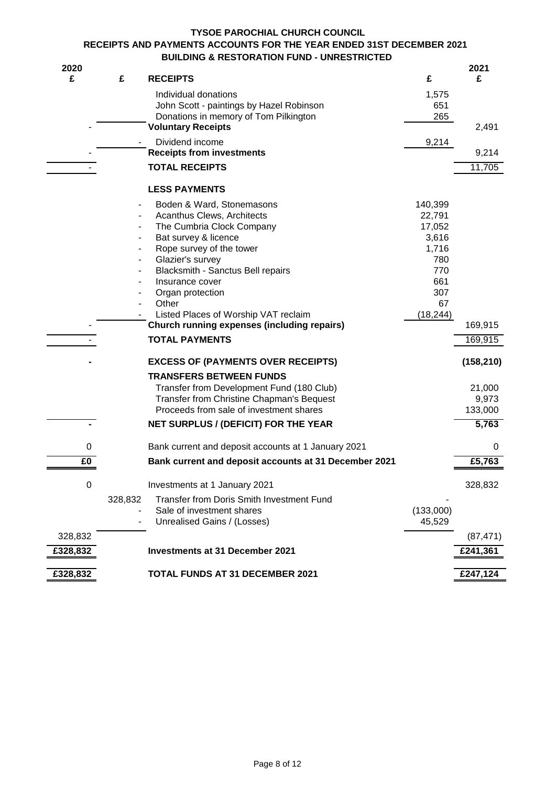# **TYSOE PAROCHIAL CHURCH COUNCIL RECEIPTS AND PAYMENTS ACCOUNTS FOR THE YEAR ENDED 31ST DECEMBER 2021 BUILDING & RESTORATION FUND - UNRESTRICTED**

| 2020     |         |                                                                    |            | 2021       |
|----------|---------|--------------------------------------------------------------------|------------|------------|
| £        | £       | <b>RECEIPTS</b>                                                    | £          | £          |
|          |         | Individual donations                                               | 1,575      |            |
|          |         | John Scott - paintings by Hazel Robinson                           | 651<br>265 |            |
|          |         | Donations in memory of Tom Pilkington<br><b>Voluntary Receipts</b> |            | 2,491      |
|          |         | Dividend income                                                    | 9,214      |            |
|          |         | <b>Receipts from investments</b>                                   |            | 9,214      |
|          |         | <b>TOTAL RECEIPTS</b>                                              |            | 11,705     |
|          |         | <b>LESS PAYMENTS</b>                                               |            |            |
|          |         | Boden & Ward, Stonemasons                                          | 140,399    |            |
|          |         | Acanthus Clews, Architects                                         | 22,791     |            |
|          |         | The Cumbria Clock Company                                          | 17,052     |            |
|          |         | Bat survey & licence                                               | 3,616      |            |
|          |         | Rope survey of the tower                                           | 1,716      |            |
|          | ۰       | Glazier's survey<br>Blacksmith - Sanctus Bell repairs              | 780<br>770 |            |
|          |         | Insurance cover                                                    | 661        |            |
|          |         | Organ protection                                                   | 307        |            |
|          |         | Other                                                              | 67         |            |
|          |         | Listed Places of Worship VAT reclaim                               | (18, 244)  |            |
|          |         | <b>Church running expenses (including repairs)</b>                 |            | 169,915    |
|          |         | <b>TOTAL PAYMENTS</b>                                              |            | 169,915    |
|          |         | <b>EXCESS OF (PAYMENTS OVER RECEIPTS)</b>                          |            | (158, 210) |
|          |         | <b>TRANSFERS BETWEEN FUNDS</b>                                     |            |            |
|          |         | Transfer from Development Fund (180 Club)                          |            | 21,000     |
|          |         | Transfer from Christine Chapman's Bequest                          |            | 9,973      |
|          |         | Proceeds from sale of investment shares                            |            | 133,000    |
|          |         | <b>NET SURPLUS / (DEFICIT) FOR THE YEAR</b>                        |            | 5,763      |
| 0        |         | Bank current and deposit accounts at 1 January 2021                |            | 0          |
| £0       |         | Bank current and deposit accounts at 31 December 2021              |            | £5,763     |
| 0        |         | Investments at 1 January 2021                                      |            | 328,832    |
|          | 328,832 | Transfer from Doris Smith Investment Fund                          |            |            |
|          |         | Sale of investment shares                                          | (133,000)  |            |
|          |         | Unrealised Gains / (Losses)                                        | 45,529     |            |
| 328,832  |         |                                                                    |            | (87, 471)  |
| £328,832 |         | <b>Investments at 31 December 2021</b>                             |            | £241,361   |
| £328,832 |         | <b>TOTAL FUNDS AT 31 DECEMBER 2021</b>                             |            | £247,124   |
|          |         |                                                                    |            |            |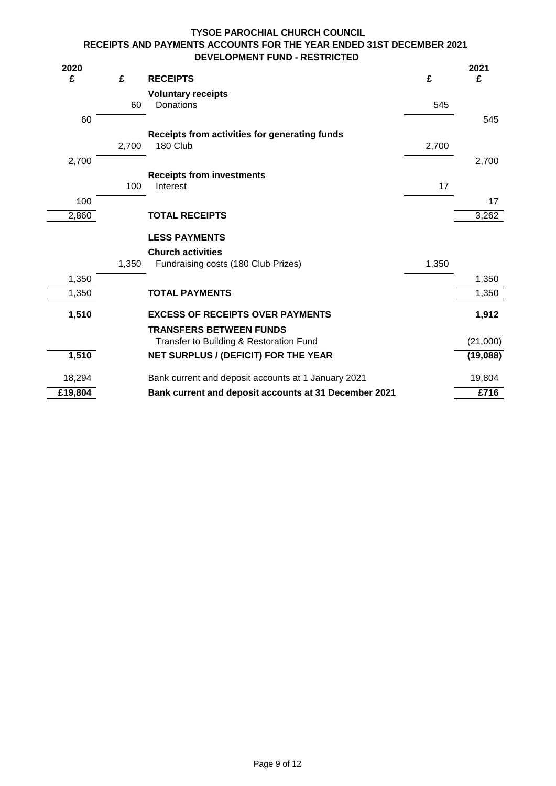# **TYSOE PAROCHIAL CHURCH COUNCIL RECEIPTS AND PAYMENTS ACCOUNTS FOR THE YEAR ENDED 31ST DECEMBER 2021 DEVELOPMENT FUND - RESTRICTED**

| 2020    |       |                                                       |       | 2021     |
|---------|-------|-------------------------------------------------------|-------|----------|
| £       | £     | <b>RECEIPTS</b>                                       | £     | £        |
|         |       | <b>Voluntary receipts</b>                             |       |          |
|         | 60    | Donations                                             | 545   |          |
| 60      |       |                                                       |       | 545      |
|         |       | Receipts from activities for generating funds         |       |          |
|         | 2,700 | 180 Club                                              | 2,700 |          |
| 2,700   |       |                                                       |       | 2,700    |
|         |       | <b>Receipts from investments</b>                      |       |          |
|         | 100   | Interest                                              | 17    |          |
| 100     |       |                                                       |       | 17       |
| 2,860   |       | <b>TOTAL RECEIPTS</b>                                 |       | 3,262    |
|         |       | <b>LESS PAYMENTS</b>                                  |       |          |
|         |       | <b>Church activities</b>                              |       |          |
|         | 1,350 | Fundraising costs (180 Club Prizes)                   | 1,350 |          |
| 1,350   |       |                                                       |       | 1,350    |
| 1,350   |       | <b>TOTAL PAYMENTS</b>                                 |       | 1,350    |
| 1,510   |       | <b>EXCESS OF RECEIPTS OVER PAYMENTS</b>               |       | 1,912    |
|         |       | <b>TRANSFERS BETWEEN FUNDS</b>                        |       |          |
|         |       | Transfer to Building & Restoration Fund               |       | (21,000) |
| 1,510   |       | NET SURPLUS / (DEFICIT) FOR THE YEAR                  |       | (19,088) |
| 18,294  |       | Bank current and deposit accounts at 1 January 2021   |       | 19,804   |
| £19,804 |       | Bank current and deposit accounts at 31 December 2021 |       | £716     |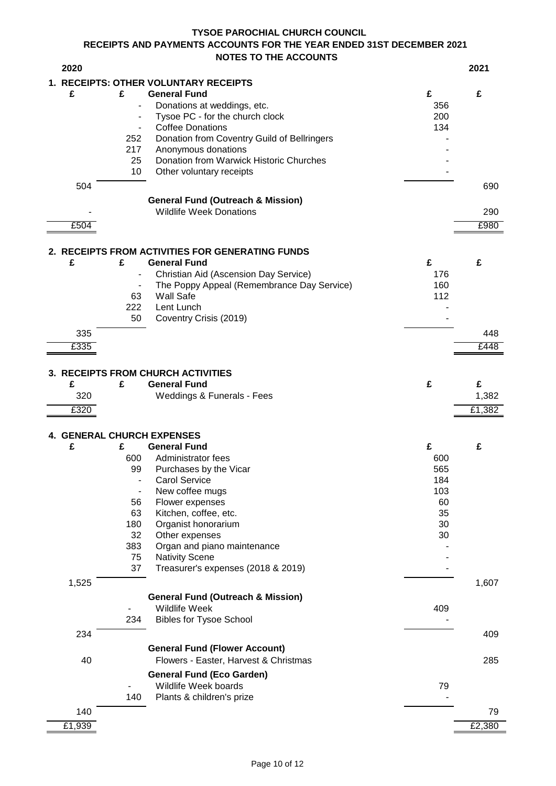# **RECEIPTS AND PAYMENTS ACCOUNTS FOR THE YEAR ENDED 31ST DECEMBER 2021 NOTES TO THE ACCOUNTS TYSOE PAROCHIAL CHURCH COUNCIL**

| 2020                              |                          |                                                          |            | 2021   |
|-----------------------------------|--------------------------|----------------------------------------------------------|------------|--------|
|                                   |                          | 1. RECEIPTS: OTHER VOLUNTARY RECEIPTS                    |            |        |
| £                                 | £                        | <b>General Fund</b>                                      | £          | £      |
|                                   | $\overline{a}$           | Donations at weddings, etc.                              | 356        |        |
|                                   | $\overline{\phantom{a}}$ | Tysoe PC - for the church clock                          | 200        |        |
|                                   | $\overline{\phantom{a}}$ | <b>Coffee Donations</b>                                  | 134        |        |
|                                   | 252                      | Donation from Coventry Guild of Bellringers              |            |        |
|                                   | 217<br>25                | Anonymous donations                                      |            |        |
|                                   | 10                       | Donation from Warwick Historic Churches                  |            |        |
|                                   |                          | Other voluntary receipts                                 |            |        |
| 504                               |                          |                                                          |            | 690    |
|                                   |                          | <b>General Fund (Outreach &amp; Mission)</b>             |            |        |
|                                   |                          | <b>Wildlife Week Donations</b>                           |            | 290    |
| £504                              |                          |                                                          |            | £980   |
|                                   |                          | 2. RECEIPTS FROM ACTIVITIES FOR GENERATING FUNDS         |            |        |
| £                                 | £                        | <b>General Fund</b>                                      | £          | £      |
|                                   |                          | Christian Aid (Ascension Day Service)                    | 176        |        |
|                                   | $\overline{\phantom{a}}$ | The Poppy Appeal (Remembrance Day Service)               | 160        |        |
|                                   | 63                       | <b>Wall Safe</b>                                         | 112        |        |
|                                   | 222                      | Lent Lunch                                               |            |        |
|                                   | 50                       | Coventry Crisis (2019)                                   |            |        |
| 335                               |                          |                                                          |            | 448    |
| £335                              |                          |                                                          |            | £448   |
|                                   |                          |                                                          |            |        |
|                                   |                          | 3. RECEIPTS FROM CHURCH ACTIVITIES                       |            |        |
| £                                 | £                        | <b>General Fund</b>                                      | £          | £      |
| 320                               |                          | <b>Weddings &amp; Funerals - Fees</b>                    |            | 1,382  |
| E320                              |                          |                                                          |            | £1,382 |
|                                   |                          |                                                          |            |        |
| <b>4. GENERAL CHURCH EXPENSES</b> |                          |                                                          |            |        |
| £                                 | £                        | <b>General Fund</b>                                      | £          | £      |
|                                   | 600<br>99                | Administrator fees<br>Purchases by the Vicar             | 600<br>565 |        |
|                                   | $\overline{a}$           | Carol Service                                            | 184        |        |
|                                   | $\overline{\phantom{a}}$ | New coffee mugs                                          | 103        |        |
|                                   | 56                       | Flower expenses                                          | 60         |        |
|                                   | 63                       | Kitchen, coffee, etc.                                    | 35         |        |
|                                   | 180                      | Organist honorarium                                      | 30         |        |
|                                   | 32                       | Other expenses                                           | 30         |        |
|                                   | 383                      | Organ and piano maintenance                              |            |        |
|                                   | 75                       | <b>Nativity Scene</b>                                    |            |        |
|                                   | 37                       | Treasurer's expenses (2018 & 2019)                       |            |        |
| 1,525                             |                          |                                                          |            | 1,607  |
|                                   |                          | <b>General Fund (Outreach &amp; Mission)</b>             |            |        |
|                                   |                          | <b>Wildlife Week</b>                                     | 409        |        |
|                                   | 234                      | <b>Bibles for Tysoe School</b>                           |            |        |
| 234                               |                          |                                                          |            | 409    |
|                                   |                          | <b>General Fund (Flower Account)</b>                     |            |        |
| 40                                |                          | Flowers - Easter, Harvest & Christmas                    |            | 285    |
|                                   |                          |                                                          |            |        |
|                                   |                          | <b>General Fund (Eco Garden)</b><br>Wildlife Week boards | 79         |        |
|                                   | 140                      | Plants & children's prize                                |            |        |
|                                   |                          |                                                          |            |        |
| 140                               |                          |                                                          |            | 79     |
| £1,939                            |                          |                                                          |            | £2,380 |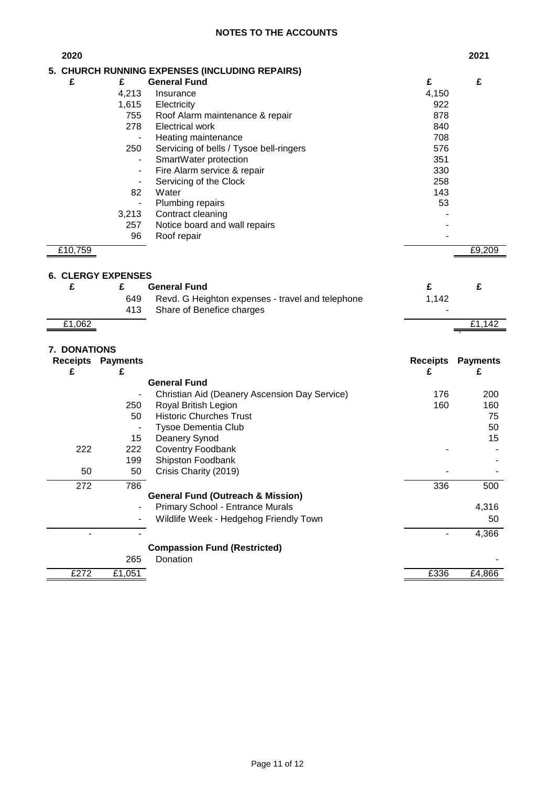# **NOTES TO THE ACCOUNTS**

| 2020            |                                       |                                                                            |                 | 2021            |
|-----------------|---------------------------------------|----------------------------------------------------------------------------|-----------------|-----------------|
|                 |                                       | 5. CHURCH RUNNING EXPENSES (INCLUDING REPAIRS)                             |                 |                 |
| £               | £                                     | <b>General Fund</b>                                                        | £               | £               |
|                 | 4,213                                 | Insurance                                                                  | 4,150           |                 |
|                 | 1,615                                 | Electricity                                                                | 922             |                 |
|                 | 755                                   | Roof Alarm maintenance & repair                                            | 878             |                 |
|                 | 278                                   | <b>Electrical work</b>                                                     | 840             |                 |
|                 | $\overline{\phantom{0}}$              | Heating maintenance                                                        | 708             |                 |
|                 | 250                                   | Servicing of bells / Tysoe bell-ringers                                    | 576             |                 |
|                 | $\overline{\phantom{0}}$              | SmartWater protection                                                      | 351             |                 |
|                 | ٠                                     | Fire Alarm service & repair                                                | 330             |                 |
|                 | $\overline{\phantom{0}}$              | Servicing of the Clock                                                     | 258             |                 |
|                 | 82                                    | Water                                                                      | 143             |                 |
|                 | $\qquad \qquad \blacksquare$<br>3,213 | Plumbing repairs<br>Contract cleaning                                      | 53              |                 |
|                 | 257                                   | Notice board and wall repairs                                              |                 |                 |
|                 | 96                                    | Roof repair                                                                |                 |                 |
| £10,759         |                                       |                                                                            |                 | £9,209          |
|                 |                                       |                                                                            |                 |                 |
|                 | <b>6. CLERGY EXPENSES</b>             |                                                                            |                 |                 |
| £               | £                                     | <b>General Fund</b>                                                        | £               | £               |
|                 | 649                                   | Revd. G Heighton expenses - travel and telephone                           | 1,142           |                 |
|                 | 413                                   | Share of Benefice charges                                                  |                 |                 |
| £1,062          |                                       |                                                                            |                 | £1,142          |
|                 |                                       |                                                                            |                 |                 |
| 7. DONATIONS    |                                       |                                                                            |                 |                 |
| <b>Receipts</b> | <b>Payments</b>                       |                                                                            | <b>Receipts</b> | <b>Payments</b> |
| £               | £                                     |                                                                            | £               | £               |
|                 |                                       | <b>General Fund</b>                                                        |                 |                 |
|                 |                                       | Christian Aid (Deanery Ascension Day Service)                              | 176             | 200             |
|                 | 250                                   | Royal British Legion                                                       | 160             | 160             |
|                 | 50                                    | <b>Historic Churches Trust</b>                                             |                 | 75              |
|                 | $\qquad \qquad \blacksquare$          | <b>Tysoe Dementia Club</b>                                                 |                 | 50<br>15        |
| 222             | 15<br>222                             | Deanery Synod<br>Coventry Foodbank                                         |                 |                 |
|                 |                                       |                                                                            |                 |                 |
| 50              |                                       |                                                                            |                 |                 |
|                 | 199                                   | Shipston Foodbank                                                          |                 |                 |
|                 | 50                                    | Crisis Charity (2019)                                                      |                 |                 |
| 272             | 786                                   |                                                                            | 336             | 500             |
|                 |                                       | <b>General Fund (Outreach &amp; Mission)</b>                               |                 |                 |
|                 |                                       | Primary School - Entrance Murals<br>Wildlife Week - Hedgehog Friendly Town |                 | 4,316<br>50     |
| $\blacksquare$  | Ξ.                                    |                                                                            |                 |                 |
|                 |                                       |                                                                            |                 | 4,366           |
|                 |                                       | <b>Compassion Fund (Restricted)</b>                                        |                 |                 |
| £272            | 265<br>£1,051                         | Donation                                                                   | £336            | £4,866          |